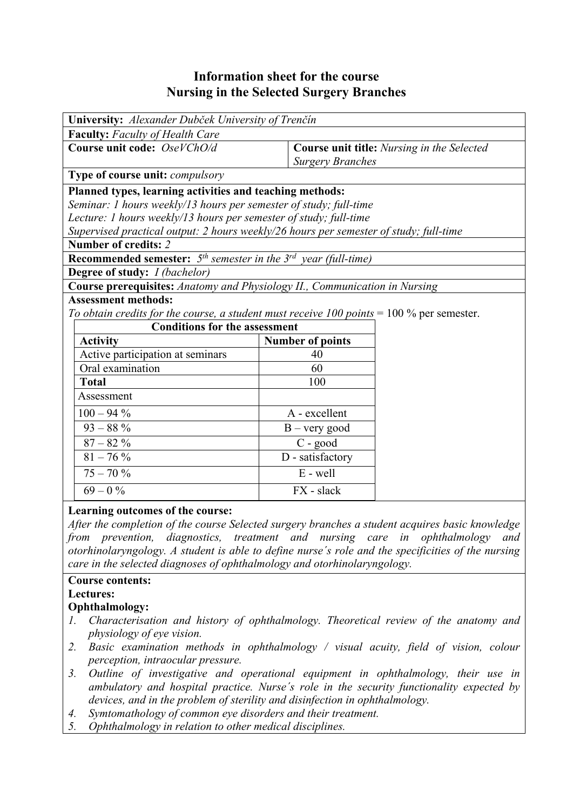# **Information sheet for the course Nursing in the Selected Surgery Branches**

| <b>Faculty:</b> Faculty of Health Care<br>Course unit code: OseVChO/d<br>Course unit title: Nursing in the Selected<br><b>Surgery Branches</b><br>Type of course unit: <i>compulsory</i><br>Planned types, learning activities and teaching methods:<br>Seminar: 1 hours weekly/13 hours per semester of study; full-time<br>Lecture: 1 hours weekly/13 hours per semester of study; full-time<br>Supervised practical output: 2 hours weekly/26 hours per semester of study; full-time<br>Number of credits: 2<br><b>Recommended semester:</b> $5th$ semester in the $3rd$ year (full-time)<br>Degree of study: <i>I (bachelor)</i><br>Course prerequisites: Anatomy and Physiology II., Communication in Nursing<br><b>Assessment methods:</b><br>To obtain credits for the course, a student must receive $100$ points = 100 % per semester.<br><b>Conditions for the assessment</b><br><b>Activity</b><br><b>Number of points</b><br>Active participation at seminars<br>40<br>Oral examination<br>60<br>100<br><b>Total</b><br>Assessment |
|------------------------------------------------------------------------------------------------------------------------------------------------------------------------------------------------------------------------------------------------------------------------------------------------------------------------------------------------------------------------------------------------------------------------------------------------------------------------------------------------------------------------------------------------------------------------------------------------------------------------------------------------------------------------------------------------------------------------------------------------------------------------------------------------------------------------------------------------------------------------------------------------------------------------------------------------------------------------------------------------------------------------------------------------|
|                                                                                                                                                                                                                                                                                                                                                                                                                                                                                                                                                                                                                                                                                                                                                                                                                                                                                                                                                                                                                                                |
|                                                                                                                                                                                                                                                                                                                                                                                                                                                                                                                                                                                                                                                                                                                                                                                                                                                                                                                                                                                                                                                |
|                                                                                                                                                                                                                                                                                                                                                                                                                                                                                                                                                                                                                                                                                                                                                                                                                                                                                                                                                                                                                                                |
|                                                                                                                                                                                                                                                                                                                                                                                                                                                                                                                                                                                                                                                                                                                                                                                                                                                                                                                                                                                                                                                |
|                                                                                                                                                                                                                                                                                                                                                                                                                                                                                                                                                                                                                                                                                                                                                                                                                                                                                                                                                                                                                                                |
|                                                                                                                                                                                                                                                                                                                                                                                                                                                                                                                                                                                                                                                                                                                                                                                                                                                                                                                                                                                                                                                |
|                                                                                                                                                                                                                                                                                                                                                                                                                                                                                                                                                                                                                                                                                                                                                                                                                                                                                                                                                                                                                                                |
|                                                                                                                                                                                                                                                                                                                                                                                                                                                                                                                                                                                                                                                                                                                                                                                                                                                                                                                                                                                                                                                |
|                                                                                                                                                                                                                                                                                                                                                                                                                                                                                                                                                                                                                                                                                                                                                                                                                                                                                                                                                                                                                                                |
|                                                                                                                                                                                                                                                                                                                                                                                                                                                                                                                                                                                                                                                                                                                                                                                                                                                                                                                                                                                                                                                |
|                                                                                                                                                                                                                                                                                                                                                                                                                                                                                                                                                                                                                                                                                                                                                                                                                                                                                                                                                                                                                                                |
|                                                                                                                                                                                                                                                                                                                                                                                                                                                                                                                                                                                                                                                                                                                                                                                                                                                                                                                                                                                                                                                |
|                                                                                                                                                                                                                                                                                                                                                                                                                                                                                                                                                                                                                                                                                                                                                                                                                                                                                                                                                                                                                                                |
|                                                                                                                                                                                                                                                                                                                                                                                                                                                                                                                                                                                                                                                                                                                                                                                                                                                                                                                                                                                                                                                |
|                                                                                                                                                                                                                                                                                                                                                                                                                                                                                                                                                                                                                                                                                                                                                                                                                                                                                                                                                                                                                                                |
|                                                                                                                                                                                                                                                                                                                                                                                                                                                                                                                                                                                                                                                                                                                                                                                                                                                                                                                                                                                                                                                |
|                                                                                                                                                                                                                                                                                                                                                                                                                                                                                                                                                                                                                                                                                                                                                                                                                                                                                                                                                                                                                                                |
|                                                                                                                                                                                                                                                                                                                                                                                                                                                                                                                                                                                                                                                                                                                                                                                                                                                                                                                                                                                                                                                |
|                                                                                                                                                                                                                                                                                                                                                                                                                                                                                                                                                                                                                                                                                                                                                                                                                                                                                                                                                                                                                                                |
|                                                                                                                                                                                                                                                                                                                                                                                                                                                                                                                                                                                                                                                                                                                                                                                                                                                                                                                                                                                                                                                |
| $100 - 94\%$<br>A - excellent                                                                                                                                                                                                                                                                                                                                                                                                                                                                                                                                                                                                                                                                                                                                                                                                                                                                                                                                                                                                                  |
| $93 - 88%$<br>$B - very good$                                                                                                                                                                                                                                                                                                                                                                                                                                                                                                                                                                                                                                                                                                                                                                                                                                                                                                                                                                                                                  |
| $87-82\ \%$<br>C - good                                                                                                                                                                                                                                                                                                                                                                                                                                                                                                                                                                                                                                                                                                                                                                                                                                                                                                                                                                                                                        |
| $81 - 76\%$<br>D - satisfactory                                                                                                                                                                                                                                                                                                                                                                                                                                                                                                                                                                                                                                                                                                                                                                                                                                                                                                                                                                                                                |
| $75 - 70\%$<br>$E - well$                                                                                                                                                                                                                                                                                                                                                                                                                                                                                                                                                                                                                                                                                                                                                                                                                                                                                                                                                                                                                      |
| $69 - 0\%$<br>FX - slack                                                                                                                                                                                                                                                                                                                                                                                                                                                                                                                                                                                                                                                                                                                                                                                                                                                                                                                                                                                                                       |

#### **Learning outcomes of the course:**

*After the completion of the course Selected surgery branches a student acquires basic knowledge from prevention, diagnostics, treatment and nursing care in ophthalmology and otorhinolaryngology. A student is able to define nurse´s role and the specificities of the nursing care in the selected diagnoses of ophthalmology and otorhinolaryngology.* 

#### **Course contents:**

**Lectures:** 

#### **Ophthalmology:**

- *1. Characterisation and history of ophthalmology. Theoretical review of the anatomy and physiology of eye vision.*
- *2. Basic examination methods in ophthalmology / visual acuity, field of vision, colour perception, intraocular pressure.*
- *3. Outline of investigative and operational equipment in ophthalmology, their use in ambulatory and hospital practice. Nurse´s role in the security functionality expected by devices, and in the problem of sterility and disinfection in ophthalmology.*
- *4. Symtomathology of common eye disorders and their treatment.*
- *5. Ophthalmology in relation to other medical disciplines.*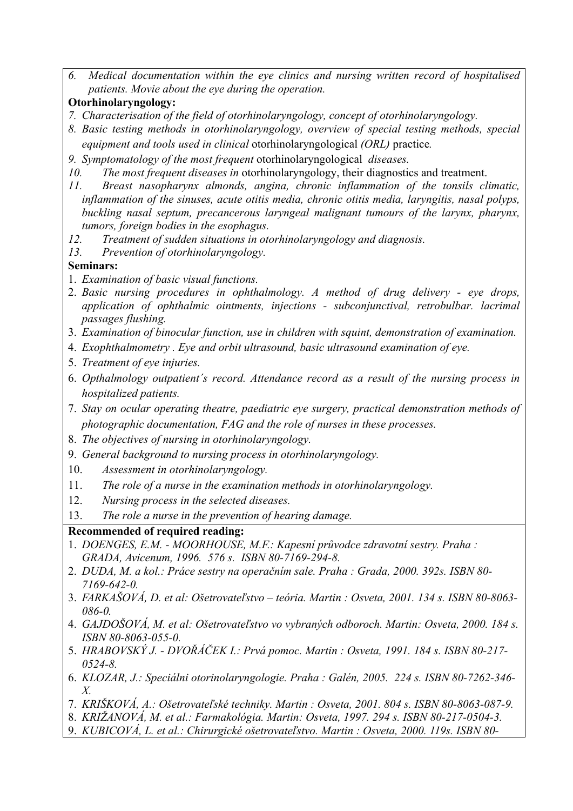- *6. Medical documentation within the eye clinics and nursing written record of hospitalised patients. Movie about the eye during the operation.*
- **Otorhinolaryngology:**
- *7. Characterisation of the field of otorhinolaryngology, concept of otorhinolaryngology.*
- *8. Basic testing methods in otorhinolaryngology, overview of special testing methods, special equipment and tools used in clinical* otorhinolaryngological *(ORL)* practice*.*
- *9. Symptomatology of the most frequent* otorhinolaryngological *diseases.*
- *10. The most frequent diseases in* otorhinolaryngology, their diagnostics and treatment.
- *11. Breast nasopharynx almonds, angina, chronic inflammation of the tonsils climatic, inflammation of the sinuses, acute otitis media, chronic otitis media, laryngitis, nasal polyps, buckling nasal septum, precancerous laryngeal malignant tumours of the larynx, pharynx, tumors, foreign bodies in the esophagus.*
- *12. Treatment of sudden situations in otorhinolaryngology and diagnosis.*
- *13. Prevention of otorhinolaryngology.*

### **Seminars:**

- 1. *Examination of basic visual functions.*
- 2. *Basic nursing procedures in ophthalmology. A method of drug delivery eye drops, application of ophthalmic ointments, injections - subconjunctival, retrobulbar. lacrimal passages flushing.*
- 3. *Examination of binocular function, use in children with squint, demonstration of examination.*
- 4. *Exophthalmometry . Eye and orbit ultrasound, basic ultrasound examination of eye.*
- 5. *Treatment of eye injuries.*
- 6. *Opthalmology outpatient´s record. Attendance record as a result of the nursing process in hospitalized patients.*
- 7. *Stay on ocular operating theatre, paediatric eye surgery, practical demonstration methods of photographic documentation, FAG and the role of nurses in these processes.*
- 8. *The objectives of nursing in otorhinolaryngology.*
- 9. *General background to nursing process in otorhinolaryngology.*
- 10. *Assessment in otorhinolaryngology.*
- 11. *The role of a nurse in the examination methods in otorhinolaryngology.*
- 12. *Nursing process in the selected diseases.*
- 13. *The role a nurse in the prevention of hearing damage.*

## **Recommended of required reading:**

- 1. *DOENGES, E.M. MOORHOUSE, M.F.: Kapesní průvodce zdravotní sestry. Praha : GRADA, Avicenum, 1996. 576 s. ISBN 80-7169-294-8.*
- 2. *DUDA, M. a kol.: Práce sestry na operačním sale. Praha : Grada, 2000. 392s. ISBN 80- 7169-642-0.*
- 3. *FARKAŠOVÁ, D. et al: Ošetrovateľstvo teória. Martin : Osveta, 2001. 134 s. ISBN 80-8063- 086-0.*
- 4. *GAJDOŠOVÁ, M. et al: Ošetrovateľstvo vo vybraných odboroch. Martin: Osveta, 2000. 184 s. ISBN 80-8063-055-0.*
- 5. *HRABOVSKÝ J. DVOŘÁČEK I.: Prvá pomoc. Martin : Osveta, 1991. 184 s. ISBN 80-217- 0524-8.*
- 6. *KLOZAR, J.: Speciálni otorinolaryngologie. Praha : Galén, 2005. 224 s. ISBN 80-7262-346- X.*
- 7. *KRIŠKOVÁ, A.: Ošetrovateľské techniky. Martin : Osveta, 2001. 804 s. ISBN 80-8063-087-9.*
- 8. *KRIŽANOVÁ, M. et al.: Farmakológia. Martin: Osveta, 1997. 294 s. ISBN 80-217-0504-3.*
- 9. *KUBICOVÁ, L. et al.: Chirurgické ošetrovateľstvo. Martin : Osveta, 2000. 119s. ISBN 80-*